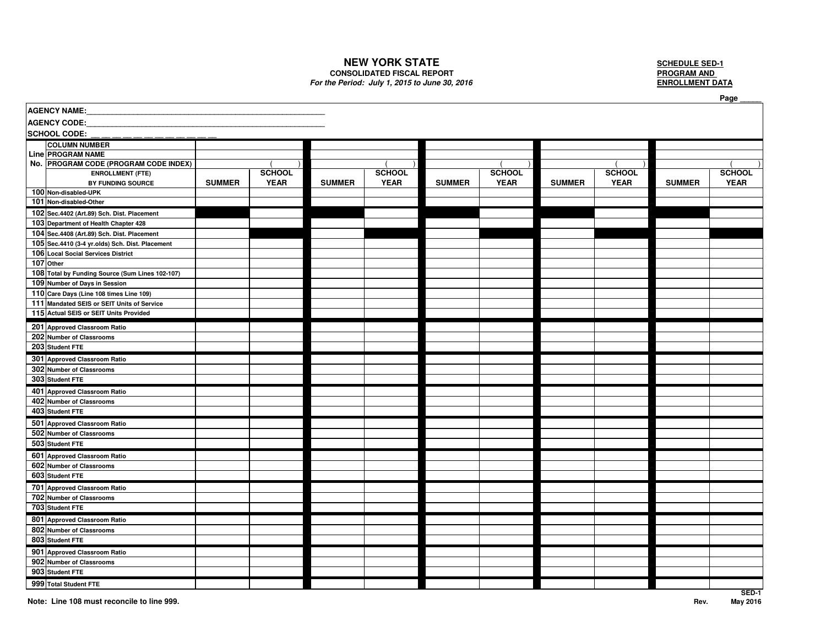# **NEW YORK STATE**

### **CONSOLIDATED FISCAL REPORT PROGRAM AND PROGRAM AND**

### **For the Period: July 1, 2015 to June 30, 2016**

**SCHEDULE SED-1 ENROLLMENT DATA** 

|                     |                                                                                               |               |               |               |               |               |               |               |               |               | Page          |
|---------------------|-----------------------------------------------------------------------------------------------|---------------|---------------|---------------|---------------|---------------|---------------|---------------|---------------|---------------|---------------|
| <b>AGENCY NAME:</b> |                                                                                               |               |               |               |               |               |               |               |               |               |               |
| <b>AGENCY CODE:</b> |                                                                                               |               |               |               |               |               |               |               |               |               |               |
| <b>SCHOOL CODE:</b> |                                                                                               |               |               |               |               |               |               |               |               |               |               |
|                     | <b>COLUMN NUMBER</b>                                                                          |               |               |               |               |               |               |               |               |               |               |
|                     | Line PROGRAM NAME                                                                             |               |               |               |               |               |               |               |               |               |               |
|                     | No. PROGRAM CODE (PROGRAM CODE INDEX)                                                         |               |               |               |               |               |               |               |               |               |               |
|                     | <b>ENROLLMENT (FTE)</b>                                                                       |               | <b>SCHOOL</b> |               | <b>SCHOOL</b> |               | <b>SCHOOL</b> |               | <b>SCHOOL</b> |               | <b>SCHOOL</b> |
|                     | BY FUNDING SOURCE                                                                             | <b>SUMMER</b> | <b>YEAR</b>   | <b>SUMMER</b> | <b>YEAR</b>   | <b>SUMMER</b> | <b>YEAR</b>   | <b>SUMMER</b> | <b>YEAR</b>   | <b>SUMMER</b> | <b>YEAR</b>   |
|                     | 100 Non-disabled-UPK                                                                          |               |               |               |               |               |               |               |               |               |               |
|                     | 101 Non-disabled-Other                                                                        |               |               |               |               |               |               |               |               |               |               |
|                     | 102 Sec. 4402 (Art. 89) Sch. Dist. Placement                                                  |               |               |               |               |               |               |               |               |               |               |
|                     | 103 Department of Health Chapter 428                                                          |               |               |               |               |               |               |               |               |               |               |
|                     | 104 Sec.4408 (Art.89) Sch. Dist. Placement<br>105 Sec.4410 (3-4 yr.olds) Sch. Dist. Placement |               |               |               |               |               |               |               |               |               |               |
|                     | 106 Local Social Services District                                                            |               |               |               |               |               |               |               |               |               |               |
|                     | 107 Other                                                                                     |               |               |               |               |               |               |               |               |               |               |
|                     | 108 Total by Funding Source (Sum Lines 102-107)                                               |               |               |               |               |               |               |               |               |               |               |
|                     | 109 Number of Days in Session                                                                 |               |               |               |               |               |               |               |               |               |               |
|                     | 110 Care Days (Line 108 times Line 109)                                                       |               |               |               |               |               |               |               |               |               |               |
|                     | 111 Mandated SEIS or SEIT Units of Service                                                    |               |               |               |               |               |               |               |               |               |               |
|                     | 115 Actual SEIS or SEIT Units Provided                                                        |               |               |               |               |               |               |               |               |               |               |
|                     | 201 Approved Classroom Ratio                                                                  |               |               |               |               |               |               |               |               |               |               |
|                     | 202 Number of Classrooms                                                                      |               |               |               |               |               |               |               |               |               |               |
|                     | 203 Student FTE                                                                               |               |               |               |               |               |               |               |               |               |               |
|                     | 301 Approved Classroom Ratio                                                                  |               |               |               |               |               |               |               |               |               |               |
|                     | 302 Number of Classrooms                                                                      |               |               |               |               |               |               |               |               |               |               |
|                     | 303 Student FTE                                                                               |               |               |               |               |               |               |               |               |               |               |
|                     | 401 Approved Classroom Ratio                                                                  |               |               |               |               |               |               |               |               |               |               |
|                     | 402 Number of Classrooms                                                                      |               |               |               |               |               |               |               |               |               |               |
|                     | 403 Student FTE                                                                               |               |               |               |               |               |               |               |               |               |               |
|                     | 501 Approved Classroom Ratio                                                                  |               |               |               |               |               |               |               |               |               |               |
|                     | 502 Number of Classrooms                                                                      |               |               |               |               |               |               |               |               |               |               |
|                     | 503 Student FTE                                                                               |               |               |               |               |               |               |               |               |               |               |
|                     | 601 Approved Classroom Ratio                                                                  |               |               |               |               |               |               |               |               |               |               |
|                     | 602 Number of Classrooms                                                                      |               |               |               |               |               |               |               |               |               |               |
|                     | 603 Student FTE                                                                               |               |               |               |               |               |               |               |               |               |               |
|                     | 701 Approved Classroom Ratio                                                                  |               |               |               |               |               |               |               |               |               |               |
|                     | 702 Number of Classrooms                                                                      |               |               |               |               |               |               |               |               |               |               |
|                     | 703 Student FTE                                                                               |               |               |               |               |               |               |               |               |               |               |
|                     | 801 Approved Classroom Ratio                                                                  |               |               |               |               |               |               |               |               |               |               |
|                     | 802 Number of Classrooms                                                                      |               |               |               |               |               |               |               |               |               |               |
|                     | 803 Student FTE                                                                               |               |               |               |               |               |               |               |               |               |               |
|                     | 901 Approved Classroom Ratio                                                                  |               |               |               |               |               |               |               |               |               |               |
|                     | 902 Number of Classrooms                                                                      |               |               |               |               |               |               |               |               |               |               |
|                     | 903 Student FTE                                                                               |               |               |               |               |               |               |               |               |               |               |
|                     | 999 Total Student FTE                                                                         |               |               |               |               |               |               |               |               |               |               |

**SED-1**